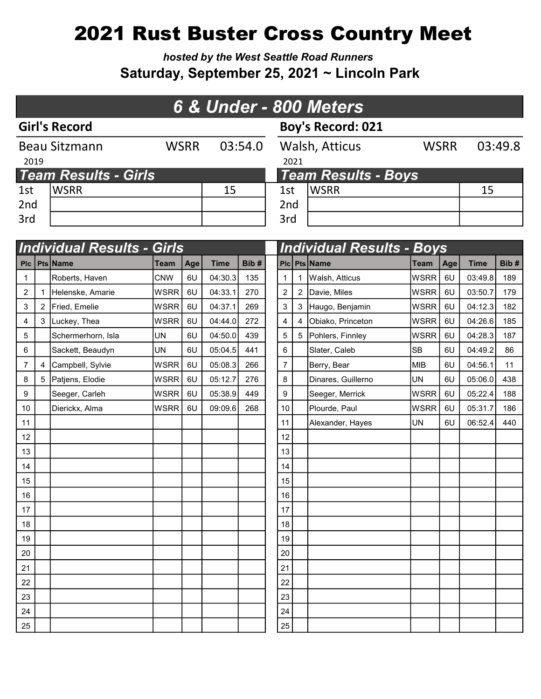# 2021 Rust Buster Cross Country Meet

hosted by the West Seattle Road Runners Saturday, September 25, 2021 ~ Lincoln Park

| 6 & Under - 800 Meters      |                      |             |         |                 |                            |             |         |  |  |  |  |
|-----------------------------|----------------------|-------------|---------|-----------------|----------------------------|-------------|---------|--|--|--|--|
|                             | <b>Girl's Record</b> |             |         |                 | <b>Boy's Record: 021</b>   |             |         |  |  |  |  |
| 2019                        | <b>Beau Sitzmann</b> | <b>WSRR</b> | 03:54.0 | 2021            | Walsh, Atticus             | <b>WSRR</b> | 03:49.8 |  |  |  |  |
| <b>Team Results - Girls</b> |                      |             |         |                 | <b>Team Results - Boys</b> |             |         |  |  |  |  |
| 1st                         | <b>WSRR</b>          |             | 15      | 1st             | <b>WSRR</b>                |             | 15      |  |  |  |  |
| 2nd                         |                      |             |         | 2 <sub>nd</sub> |                            |             |         |  |  |  |  |
| 3rd                         |                      |             |         | 3rd             |                            |             |         |  |  |  |  |

|                |                |                    | <b>Individual Results - Girls</b> |     |             |      |  |                  | <b>Individual Results - Boys</b> |                    |             |     |             |      |  |
|----------------|----------------|--------------------|-----------------------------------|-----|-------------|------|--|------------------|----------------------------------|--------------------|-------------|-----|-------------|------|--|
|                |                | Plc   Pts   Name   | <b>Team</b>                       | Age | <b>Time</b> | Bib# |  |                  |                                  | Plc Pts Name       | <b>Team</b> | Age | <b>Time</b> | Bib# |  |
| $\mathbf{1}$   |                | Roberts, Haven     | <b>CNW</b>                        | 6U  | 04:30.3     | 135  |  | 1                | 1                                | Walsh, Atticus     | <b>WSRR</b> | 6U  | 03:49.8     | 189  |  |
| $\overline{2}$ |                | Helenske, Amarie   | <b>WSRR</b>                       | 6U  | 04:33.1     | 270  |  | $\boldsymbol{2}$ |                                  | 2 Davie, Miles     | <b>WSRR</b> | 6U  | 03:50.7     | 179  |  |
| 3              | 2              | Fried, Emelie      | <b>WSRR</b>                       | 6U  | 04:37.1     | 269  |  | 3                |                                  | 3 Haugo, Benjamin  | <b>WSRR</b> | 6U  | 04:12.3     | 182  |  |
| 4              | 3 <sup>1</sup> | Luckey, Thea       | <b>WSRR</b>                       | 6U  | 04:44.0     | 272  |  | 4                | 4                                | Obiako, Princeton  | <b>WSRR</b> | 6U  | 04:26.6     | 185  |  |
| 5              |                | Schermerhorn, Isla | <b>UN</b>                         | 6U  | 04:50.0     | 439  |  | 5                |                                  | 5 Pohlers, Finnley | <b>WSRR</b> | 6U  | 04:28.3     | 187  |  |
| 6              |                | Sackett, Beaudyn   | <b>UN</b>                         | 6U  | 05:04.5     | 441  |  | 6                |                                  | Slater, Caleb      | <b>SB</b>   | 6U  | 04:49.2     | 86   |  |
| $\overline{7}$ | 4              | Campbell, Sylvie   | <b>WSRR</b>                       | 6U  | 05:08.3     | 266  |  | $\overline{7}$   |                                  | Berry, Bear        | <b>MIB</b>  | 6U  | 04:56.1     | 11   |  |
| 8              | 5              | Patjens, Elodie    | <b>WSRR</b>                       | 6U  | 05:12.7     | 276  |  | 8                |                                  | Dinares, Guillerno | <b>UN</b>   | 6U  | 05:06.0     | 438  |  |
| 9              |                | Seeger, Carleh     | <b>WSRR</b>                       | 6U  | 05:38.9     | 449  |  | 9                |                                  | Seeger, Merrick    | <b>WSRR</b> | 6U  | 05:22.4     | 188  |  |
| 10             |                | Dierickx, Alma     | <b>WSRR</b>                       | 6U  | 09:09.6     | 268  |  | 10               |                                  | Plourde, Paul      | <b>WSRR</b> | 6U  | 05:31.7     | 186  |  |
| 11             |                |                    |                                   |     |             |      |  | 11               |                                  | Alexander, Hayes   | <b>UN</b>   | 6U  | 06:52.4     | 440  |  |
| 12             |                |                    |                                   |     |             |      |  | 12               |                                  |                    |             |     |             |      |  |
| 13             |                |                    |                                   |     |             |      |  | 13               |                                  |                    |             |     |             |      |  |
| 14             |                |                    |                                   |     |             |      |  | 14               |                                  |                    |             |     |             |      |  |
| 15             |                |                    |                                   |     |             |      |  | 15               |                                  |                    |             |     |             |      |  |
| 16             |                |                    |                                   |     |             |      |  | 16               |                                  |                    |             |     |             |      |  |
| 17             |                |                    |                                   |     |             |      |  | 17               |                                  |                    |             |     |             |      |  |
| 18             |                |                    |                                   |     |             |      |  | 18               |                                  |                    |             |     |             |      |  |
| 19             |                |                    |                                   |     |             |      |  | 19               |                                  |                    |             |     |             |      |  |
| 20             |                |                    |                                   |     |             |      |  | 20               |                                  |                    |             |     |             |      |  |
| 21             |                |                    |                                   |     |             |      |  | 21               |                                  |                    |             |     |             |      |  |
| 22             |                |                    |                                   |     |             |      |  | 22               |                                  |                    |             |     |             |      |  |
| 23             |                |                    |                                   |     |             |      |  | 23               |                                  |                    |             |     |             |      |  |
| 24             |                |                    |                                   |     |             |      |  | 24               |                                  |                    |             |     |             |      |  |
| 25             |                |                    |                                   |     |             |      |  | 25               |                                  |                    |             |     |             |      |  |